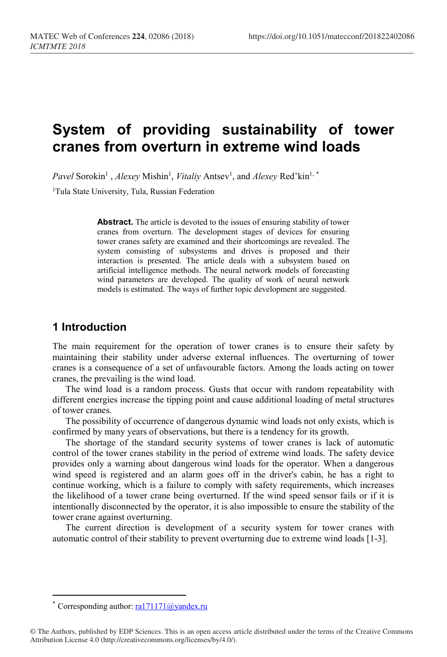# **System of providing sustainability of tower cranes from overturn in extreme wind loads**

*Pavel Sorokin<sup>1</sup>, Alexey Mishin<sup>1</sup>, Vitaliy Antsev<sup>1</sup>, and Alexey Red'kin<sup>1, [\\*](#page-0-0)</sup>* 

<sup>1</sup>Tula State University, Tula, Russian Federation

**Abstract.** The article is devoted to the issues of ensuring stability of tower cranes from overturn. The development stages of devices for ensuring tower cranes safety are examined and their shortcomings are revealed. The system consisting of subsystems and drives is proposed and their interaction is presented. The article deals with a subsystem based on artificial intelligence methods. The neural network models of forecasting wind parameters are developed. The quality of work of neural network models is estimated. The ways of further topic development are suggested.

## **1 Introduction**

The main requirement for the operation of tower cranes is to ensure their safety by maintaining their stability under adverse external influences. The overturning of tower cranes is a consequence of a set of unfavourable factors. Among the loads acting on tower cranes, the prevailing is the wind load.

The wind load is a random process. Gusts that occur with random repeatability with different energies increase the tipping point and cause additional loading of metal structures of tower cranes.

The possibility of occurrence of dangerous dynamic wind loads not only exists, which is confirmed by many years of observations, but there is a tendency for its growth.

The shortage of the standard security systems of tower cranes is lack of automatic control of the tower cranes stability in the period of extreme wind loads. The safety device provides only a warning about dangerous wind loads for the operator. When a dangerous wind speed is registered and an alarm goes off in the driver's cabin, he has a right to continue working, which is a failure to comply with safety requirements, which increases the likelihood of a tower crane being overturned. If the wind speed sensor fails or if it is intentionally disconnected by the operator, it is also impossible to ensure the stability of the tower crane against overturning.

The current direction is development of a security system for tower cranes with automatic control of their stability to prevent overturning due to extreme wind loads [1-3].

 $\overline{a}$ 

Corresponding author:  $ra171171@y$ andex.ru

<span id="page-0-0"></span><sup>©</sup> The Authors, published by EDP Sciences. This is an open access article distributed under the terms of the Creative Commons Attribution License 4.0 (http://creativecommons.org/licenses/by/4.0/).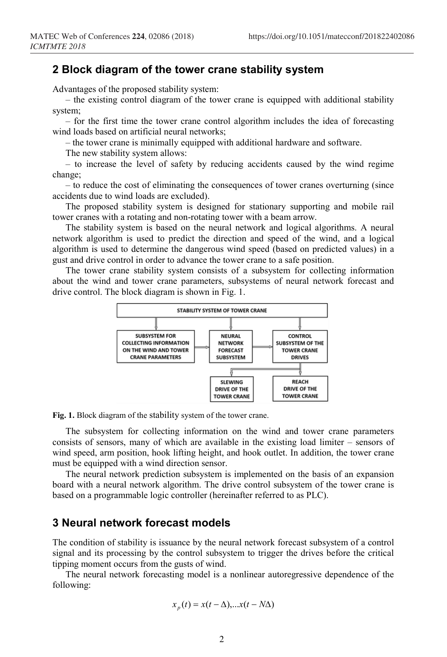#### **2 Block diagram of the tower crane stability system**

Advantages of the proposed stability system:

– the existing control diagram of the tower crane is equipped with additional stability system;

– for the first time the tower crane control algorithm includes the idea of forecasting wind loads based on artificial neural networks;

– the tower crane is minimally equipped with additional hardware and software.

The new stability system allows:

– to increase the level of safety by reducing accidents caused by the wind regime change;

– to reduce the cost of eliminating the consequences of tower cranes overturning (since accidents due to wind loads are excluded).

The proposed stability system is designed for stationary supporting and mobile rail tower cranes with a rotating and non-rotating tower with a beam arrow.

The stability system is based on the neural network and logical algorithms. A neural network algorithm is used to predict the direction and speed of the wind, and a logical algorithm is used to determine the dangerous wind speed (based on predicted values) in a gust and drive control in order to advance the tower crane to a safe position.

The tower crane stability system consists of a subsystem for collecting information about the wind and tower crane parameters, subsystems of neural network forecast and drive control. The block diagram is shown in Fig. 1.



**Fig. 1.** Block diagram of the stability system of the tower crane.

The subsystem for collecting information on the wind and tower crane parameters consists of sensors, many of which are available in the existing load limiter – sensors of wind speed, arm position, hook lifting height, and hook outlet. In addition, the tower crane must be equipped with a wind direction sensor.

The neural network prediction subsystem is implemented on the basis of an expansion board with a neural network algorithm. The drive control subsystem of the tower crane is based on a programmable logic controller (hereinafter referred to as PLC).

## **3 Neural network forecast models**

The condition of stability is issuance by the neural network forecast subsystem of a control signal and its processing by the control subsystem to trigger the drives before the critical tipping moment occurs from the gusts of wind.

The neural network forecasting model is a nonlinear autoregressive dependence of the following:

$$
x_p(t) = x(t - \Delta), \dots x(t - N\Delta)
$$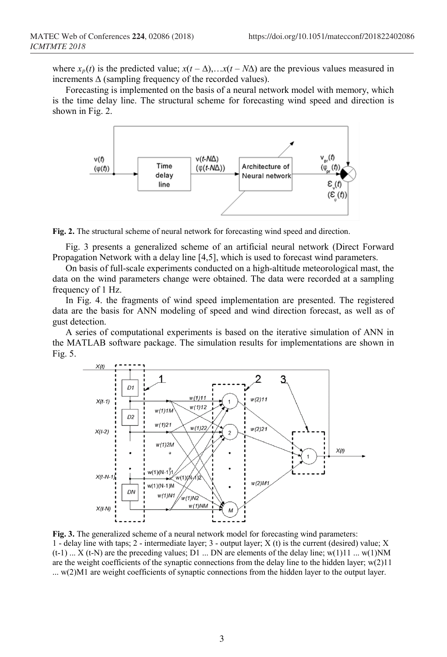where  $x_p(t)$  is the predicted value;  $x(t - \Delta)$ ,… $x(t - N\Delta)$  are the previous values measured in increments ∆ (sampling frequency of the recorded values).

Forecasting is implemented on the basis of a neural network model with memory, which is the time delay line. The structural scheme for forecasting wind speed and direction is shown in Fig. 2.



**Fig. 2.** The structural scheme of neural network for forecasting wind speed and direction.

Fig. 3 presents a generalized scheme of an artificial neural network (Direct Forward Propagation Network with a delay line [4,5], which is used to forecast wind parameters.

On basis of full-scale experiments conducted on a high-altitude meteorological mast, the data on the wind parameters change were obtained. The data were recorded at a sampling frequency of 1 Hz.

In Fig. 4. the fragments of wind speed implementation are presented. The registered data are the basis for ANN modeling of speed and wind direction forecast, as well as of gust detection.

A series of computational experiments is based on the iterative simulation of ANN in the MATLAB software package. The simulation results for implementations are shown in Fig. 5.



**Fig. 3.** The generalized scheme of a neural network model for forecasting wind parameters: 1 - delay line with taps; 2 - intermediate layer; 3 - output layer; X (t) is the current (desired) value; X  $(t-1)$  ...  $X(t-N)$  are the preceding values; D1 ... DN are elements of the delay line; w(1)11 ... w(1)NM are the weight coefficients of the synaptic connections from the delay line to the hidden layer; w(2)11 ... w(2)M1 are weight coefficients of synaptic connections from the hidden layer to the output layer.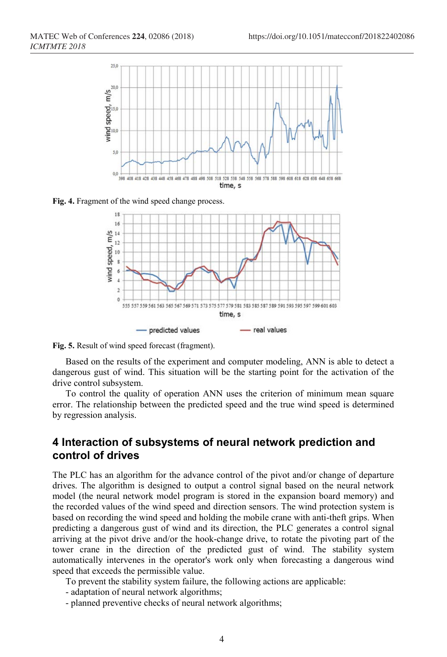

**Fig. 4.** Fragment of the wind speed change process.





Based on the results of the experiment and computer modeling, ANN is able to detect a dangerous gust of wind. This situation will be the starting point for the activation of the drive control subsystem.

To control the quality of operation ANN uses the criterion of minimum mean square error. The relationship between the predicted speed and the true wind speed is determined by regression analysis.

## **4 Interaction of subsystems of neural network prediction and control of drives**

The PLC has an algorithm for the advance control of the pivot and/or change of departure drives. The algorithm is designed to output a control signal based on the neural network model (the neural network model program is stored in the expansion board memory) and the recorded values of the wind speed and direction sensors. The wind protection system is based on recording the wind speed and holding the mobile crane with anti-theft grips. When predicting a dangerous gust of wind and its direction, the PLC generates a control signal arriving at the pivot drive and/or the hook-change drive, to rotate the pivoting part of the tower crane in the direction of the predicted gust of wind. The stability system automatically intervenes in the operator's work only when forecasting a dangerous wind speed that exceeds the permissible value.

To prevent the stability system failure, the following actions are applicable:

- adaptation of neural network algorithms;
- planned preventive checks of neural network algorithms;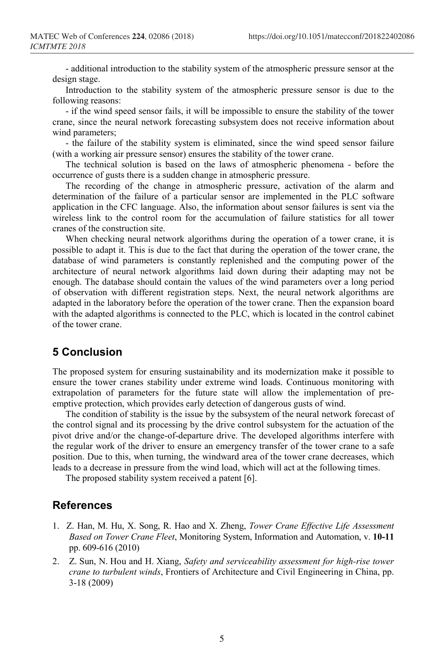- additional introduction to the stability system of the atmospheric pressure sensor at the design stage.

Introduction to the stability system of the atmospheric pressure sensor is due to the following reasons:

- if the wind speed sensor fails, it will be impossible to ensure the stability of the tower crane, since the neural network forecasting subsystem does not receive information about wind parameters;

- the failure of the stability system is eliminated, since the wind speed sensor failure (with a working air pressure sensor) ensures the stability of the tower crane.

The technical solution is based on the laws of atmospheric phenomena - before the occurrence of gusts there is a sudden change in atmospheric pressure.

The recording of the change in atmospheric pressure, activation of the alarm and determination of the failure of a particular sensor are implemented in the PLC software application in the CFC language. Also, the information about sensor failures is sent via the wireless link to the control room for the accumulation of failure statistics for all tower cranes of the construction site.

When checking neural network algorithms during the operation of a tower crane, it is possible to adapt it. This is due to the fact that during the operation of the tower crane, the database of wind parameters is constantly replenished and the computing power of the architecture of neural network algorithms laid down during their adapting may not be enough. The database should contain the values of the wind parameters over a long period of observation with different registration steps. Next, the neural network algorithms are adapted in the laboratory before the operation of the tower crane. Then the expansion board with the adapted algorithms is connected to the PLC, which is located in the control cabinet of the tower crane.

## **5 Conclusion**

The proposed system for ensuring sustainability and its modernization make it possible to ensure the tower cranes stability under extreme wind loads. Continuous monitoring with extrapolation of parameters for the future state will allow the implementation of preemptive protection, which provides early detection of dangerous gusts of wind.

The condition of stability is the issue by the subsystem of the neural network forecast of the control signal and its processing by the drive control subsystem for the actuation of the pivot drive and/or the change-of-departure drive. The developed algorithms interfere with the regular work of the driver to ensure an emergency transfer of the tower crane to a safe position. Due to this, when turning, the windward area of the tower crane decreases, which leads to a decrease in pressure from the wind load, which will act at the following times.

The proposed stability system received a patent [6].

#### **References**

- 1. Z. Han, M. Hu, X. Song, R. Hao and X. Zheng, *Tower Crane Effective Life Assessment Based on Tower Crane Fleet*, Monitoring System, Information and Automation, v. **10-11** pp. 609-616 (2010)
- 2. Z. Sun, N. Hou and H. Xiang, *Safety and serviceability assessment for high-rise tower crane to turbulent winds*, Frontiers of Architecture and Civil Engineering in China, pp. 3-18 (2009)